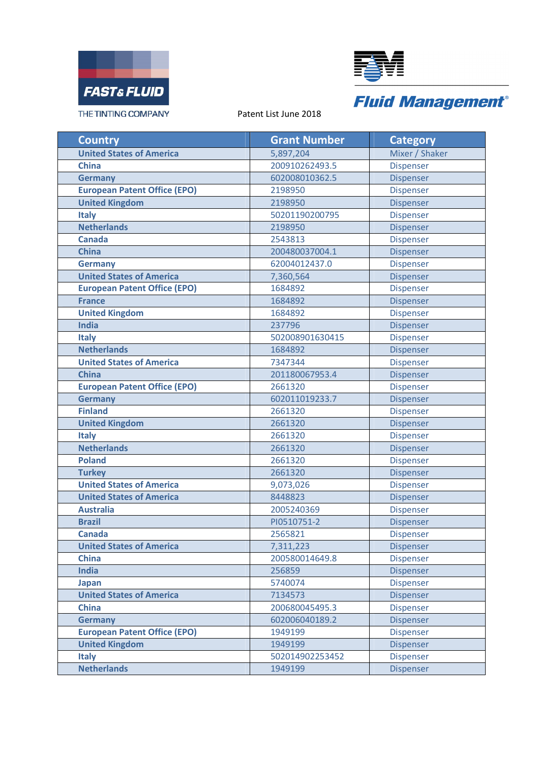



| <b>Country</b>                      | <b>Grant Number</b> | <b>Category</b>  |
|-------------------------------------|---------------------|------------------|
| <b>United States of America</b>     | 5,897,204           | Mixer / Shaker   |
| <b>China</b>                        | 200910262493.5      | <b>Dispenser</b> |
| <b>Germany</b>                      | 602008010362.5      | <b>Dispenser</b> |
| <b>European Patent Office (EPO)</b> | 2198950             | <b>Dispenser</b> |
| <b>United Kingdom</b>               | 2198950             | Dispenser        |
| <b>Italy</b>                        | 50201190200795      | Dispenser        |
| <b>Netherlands</b>                  | 2198950             | <b>Dispenser</b> |
| <b>Canada</b>                       | 2543813             | <b>Dispenser</b> |
| <b>China</b>                        | 200480037004.1      | Dispenser        |
| <b>Germany</b>                      | 62004012437.0       | <b>Dispenser</b> |
| <b>United States of America</b>     | 7,360,564           | Dispenser        |
| <b>European Patent Office (EPO)</b> | 1684892             | Dispenser        |
| <b>France</b>                       | 1684892             | <b>Dispenser</b> |
| <b>United Kingdom</b>               | 1684892             | Dispenser        |
| <b>India</b>                        | 237796              | Dispenser        |
| <b>Italy</b>                        | 502008901630415     | Dispenser        |
| <b>Netherlands</b>                  | 1684892             | Dispenser        |
| <b>United States of America</b>     | 7347344             | Dispenser        |
| <b>China</b>                        | 201180067953.4      | Dispenser        |
| <b>European Patent Office (EPO)</b> | 2661320             | <b>Dispenser</b> |
| <b>Germany</b>                      | 602011019233.7      | Dispenser        |
| <b>Finland</b>                      | 2661320             | Dispenser        |
| <b>United Kingdom</b>               | 2661320             | <b>Dispenser</b> |
| <b>Italy</b>                        | 2661320             | <b>Dispenser</b> |
| <b>Netherlands</b>                  | 2661320             | Dispenser        |
| <b>Poland</b>                       | 2661320             | <b>Dispenser</b> |
| <b>Turkey</b>                       | 2661320             | <b>Dispenser</b> |
| <b>United States of America</b>     | 9,073,026           | <b>Dispenser</b> |
| <b>United States of America</b>     | 8448823             | Dispenser        |
| <b>Australia</b>                    | 2005240369          | <b>Dispenser</b> |
| <b>Brazil</b>                       | PI0510751-2         | Dispenser        |
| <b>Canada</b>                       | 2565821             | Dispenser        |
| <b>United States of America</b>     | 7,311,223           | <b>Dispenser</b> |
| <b>China</b>                        | 200580014649.8      | <b>Dispenser</b> |
| <b>India</b>                        | 256859              | Dispenser        |
| Japan                               | 5740074             | <b>Dispenser</b> |
| <b>United States of America</b>     | 7134573             | <b>Dispenser</b> |
| <b>China</b>                        | 200680045495.3      | <b>Dispenser</b> |
| <b>Germany</b>                      | 602006040189.2      | <b>Dispenser</b> |
| <b>European Patent Office (EPO)</b> | 1949199             | <b>Dispenser</b> |
| <b>United Kingdom</b>               | 1949199             | Dispenser        |
| <b>Italy</b>                        | 502014902253452     | <b>Dispenser</b> |
| <b>Netherlands</b>                  | 1949199             | <b>Dispenser</b> |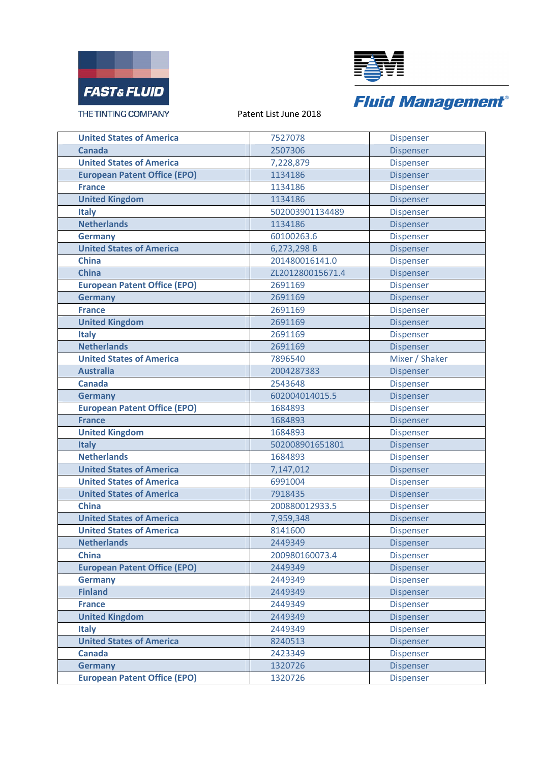



| <b>United States of America</b>     | 7527078          | <b>Dispenser</b> |
|-------------------------------------|------------------|------------------|
| Canada                              | 2507306          | Dispenser        |
| <b>United States of America</b>     | 7,228,879        | <b>Dispenser</b> |
| <b>European Patent Office (EPO)</b> | 1134186          | <b>Dispenser</b> |
| <b>France</b>                       | 1134186          | <b>Dispenser</b> |
| <b>United Kingdom</b>               | 1134186          | Dispenser        |
| <b>Italy</b>                        | 502003901134489  | <b>Dispenser</b> |
| <b>Netherlands</b>                  | 1134186          | Dispenser        |
| <b>Germany</b>                      | 60100263.6       | Dispenser        |
| <b>United States of America</b>     | 6,273,298 B      | Dispenser        |
| <b>China</b>                        | 201480016141.0   | <b>Dispenser</b> |
| <b>China</b>                        | ZL201280015671.4 | Dispenser        |
| <b>European Patent Office (EPO)</b> | 2691169          | <b>Dispenser</b> |
| <b>Germany</b>                      | 2691169          | <b>Dispenser</b> |
| <b>France</b>                       | 2691169          | <b>Dispenser</b> |
| <b>United Kingdom</b>               | 2691169          | Dispenser        |
| <b>Italy</b>                        | 2691169          | Dispenser        |
| <b>Netherlands</b>                  | 2691169          | Dispenser        |
| <b>United States of America</b>     | 7896540          | Mixer / Shaker   |
| <b>Australia</b>                    | 2004287383       | Dispenser        |
| <b>Canada</b>                       | 2543648          | <b>Dispenser</b> |
| <b>Germany</b>                      | 602004014015.5   | Dispenser        |
| <b>European Patent Office (EPO)</b> | 1684893          | Dispenser        |
| <b>France</b>                       | 1684893          | Dispenser        |
| <b>United Kingdom</b>               | 1684893          | Dispenser        |
| <b>Italy</b>                        | 502008901651801  | Dispenser        |
| <b>Netherlands</b>                  | 1684893          | <b>Dispenser</b> |
| <b>United States of America</b>     | 7,147,012        | Dispenser        |
| <b>United States of America</b>     | 6991004          | <b>Dispenser</b> |
| <b>United States of America</b>     | 7918435          | Dispenser        |
| <b>China</b>                        | 200880012933.5   | Dispenser        |
| <b>United States of America</b>     | 7,959,348        | Dispenser        |
| <b>United States of America</b>     | 8141600          | <b>Dispenser</b> |
| <b>Netherlands</b>                  | 2449349          | Dispenser        |
| <b>China</b>                        | 200980160073.4   | <b>Dispenser</b> |
| <b>European Patent Office (EPO)</b> | 2449349          | <b>Dispenser</b> |
| <b>Germany</b>                      | 2449349          | Dispenser        |
| <b>Finland</b>                      | 2449349          | Dispenser        |
| <b>France</b>                       | 2449349          | <b>Dispenser</b> |
| <b>United Kingdom</b>               | 2449349          | Dispenser        |
| <b>Italy</b>                        | 2449349          | <b>Dispenser</b> |
| <b>United States of America</b>     | 8240513          | <b>Dispenser</b> |
| <b>Canada</b>                       | 2423349          | <b>Dispenser</b> |
| <b>Germany</b>                      | 1320726          | <b>Dispenser</b> |
| <b>European Patent Office (EPO)</b> | 1320726          | <b>Dispenser</b> |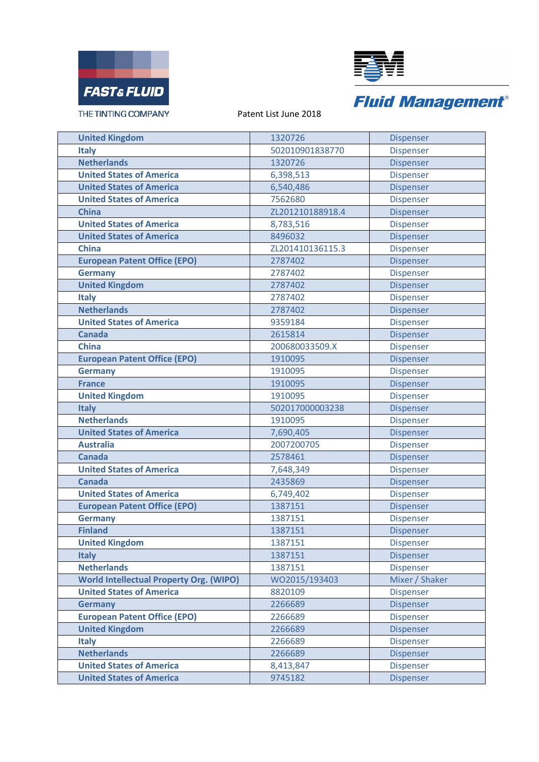



| <b>United Kingdom</b>                          | 1320726          | Dispenser        |
|------------------------------------------------|------------------|------------------|
| <b>Italy</b>                                   | 502010901838770  | <b>Dispenser</b> |
| <b>Netherlands</b>                             | 1320726          | Dispenser        |
| <b>United States of America</b>                | 6,398,513        | <b>Dispenser</b> |
| <b>United States of America</b>                | 6,540,486        | Dispenser        |
| <b>United States of America</b>                | 7562680          | Dispenser        |
| <b>China</b>                                   | ZL201210188918.4 | <b>Dispenser</b> |
| <b>United States of America</b>                | 8,783,516        | <b>Dispenser</b> |
| <b>United States of America</b>                | 8496032          | Dispenser        |
| <b>China</b>                                   | ZL201410136115.3 | <b>Dispenser</b> |
| <b>European Patent Office (EPO)</b>            | 2787402          | <b>Dispenser</b> |
| <b>Germany</b>                                 | 2787402          | <b>Dispenser</b> |
| <b>United Kingdom</b>                          | 2787402          | <b>Dispenser</b> |
| <b>Italy</b>                                   | 2787402          | <b>Dispenser</b> |
| <b>Netherlands</b>                             | 2787402          | Dispenser        |
| <b>United States of America</b>                | 9359184          | <b>Dispenser</b> |
| <b>Canada</b>                                  | 2615814          | Dispenser        |
| <b>China</b>                                   | 200680033509.X   | Dispenser        |
| <b>European Patent Office (EPO)</b>            | 1910095          | Dispenser        |
| <b>Germany</b>                                 | 1910095          | <b>Dispenser</b> |
| <b>France</b>                                  | 1910095          | Dispenser        |
| <b>United Kingdom</b>                          | 1910095          | <b>Dispenser</b> |
| <b>Italy</b>                                   | 502017000003238  | Dispenser        |
| <b>Netherlands</b>                             | 1910095          | <b>Dispenser</b> |
| <b>United States of America</b>                | 7,690,405        | Dispenser        |
| <b>Australia</b>                               | 2007200705       | <b>Dispenser</b> |
| <b>Canada</b>                                  | 2578461          | Dispenser        |
| <b>United States of America</b>                | 7,648,349        | Dispenser        |
| <b>Canada</b>                                  | 2435869          | Dispenser        |
| <b>United States of America</b>                | 6,749,402        | Dispenser        |
| <b>European Patent Office (EPO)</b>            | 1387151          | Dispenser        |
| <b>Germany</b>                                 | 1387151          | Dispenser        |
| <b>Finland</b>                                 | 1387151          | Dispenser        |
| <b>United Kingdom</b>                          | 1387151          | <b>Dispenser</b> |
| <b>Italy</b>                                   | 1387151          | Dispenser        |
| <b>Netherlands</b>                             | 1387151          | Dispenser        |
| <b>World Intellectual Property Org. (WIPO)</b> | WO2015/193403    | Mixer / Shaker   |
| <b>United States of America</b>                | 8820109          | Dispenser        |
| <b>Germany</b>                                 | 2266689          | Dispenser        |
| <b>European Patent Office (EPO)</b>            | 2266689          | Dispenser        |
| <b>United Kingdom</b>                          | 2266689          | Dispenser        |
| <b>Italy</b>                                   | 2266689          | Dispenser        |
| <b>Netherlands</b>                             | 2266689          | <b>Dispenser</b> |
| <b>United States of America</b>                | 8,413,847        | <b>Dispenser</b> |
| <b>United States of America</b>                | 9745182          | Dispenser        |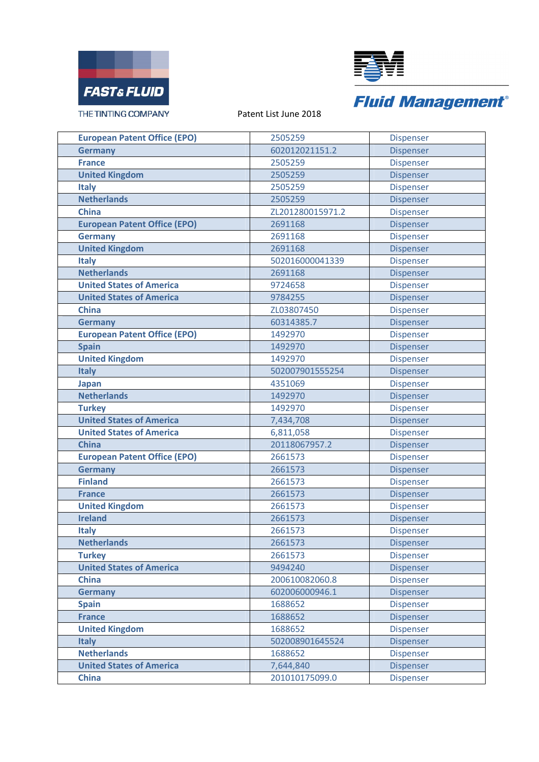



| <b>European Patent Office (EPO)</b> | 2505259          | Dispenser        |
|-------------------------------------|------------------|------------------|
| <b>Germany</b>                      | 602012021151.2   | <b>Dispenser</b> |
| <b>France</b>                       | 2505259          | <b>Dispenser</b> |
| <b>United Kingdom</b>               | 2505259          | Dispenser        |
| <b>Italy</b>                        | 2505259          | <b>Dispenser</b> |
| <b>Netherlands</b>                  | 2505259          | Dispenser        |
| <b>China</b>                        | ZL201280015971.2 | <b>Dispenser</b> |
| <b>European Patent Office (EPO)</b> | 2691168          | <b>Dispenser</b> |
| <b>Germany</b>                      | 2691168          | <b>Dispenser</b> |
| <b>United Kingdom</b>               | 2691168          | Dispenser        |
| <b>Italy</b>                        | 502016000041339  | <b>Dispenser</b> |
| <b>Netherlands</b>                  | 2691168          | Dispenser        |
| <b>United States of America</b>     | 9724658          | <b>Dispenser</b> |
| <b>United States of America</b>     | 9784255          | Dispenser        |
| <b>China</b>                        | ZL03807450       | Dispenser        |
| <b>Germany</b>                      | 60314385.7       | Dispenser        |
| <b>European Patent Office (EPO)</b> | 1492970          | Dispenser        |
| <b>Spain</b>                        | 1492970          | Dispenser        |
| <b>United Kingdom</b>               | 1492970          | <b>Dispenser</b> |
| <b>Italy</b>                        | 502007901555254  | Dispenser        |
| <b>Japan</b>                        | 4351069          | <b>Dispenser</b> |
| <b>Netherlands</b>                  | 1492970          | Dispenser        |
| <b>Turkey</b>                       | 1492970          | Dispenser        |
| <b>United States of America</b>     | 7,434,708        | Dispenser        |
| <b>United States of America</b>     | 6,811,058        | Dispenser        |
| <b>China</b>                        | 20118067957.2    | <b>Dispenser</b> |
| <b>European Patent Office (EPO)</b> | 2661573          | Dispenser        |
| <b>Germany</b>                      | 2661573          | Dispenser        |
| <b>Finland</b>                      | 2661573          | <b>Dispenser</b> |
| <b>France</b>                       | 2661573          | Dispenser        |
| <b>United Kingdom</b>               | 2661573          | Dispenser        |
| <b>Ireland</b>                      | 2661573          | <b>Dispenser</b> |
| <b>Italy</b>                        | 2661573          | <b>Dispenser</b> |
| <b>Netherlands</b>                  | 2661573          | Dispenser        |
| <b>Turkey</b>                       | 2661573          | <b>Dispenser</b> |
| <b>United States of America</b>     | 9494240          | Dispenser        |
| <b>China</b>                        | 200610082060.8   | <b>Dispenser</b> |
| <b>Germany</b>                      | 602006000946.1   | Dispenser        |
| <b>Spain</b>                        | 1688652          | <b>Dispenser</b> |
| <b>France</b>                       | 1688652          | Dispenser        |
| <b>United Kingdom</b>               | 1688652          | Dispenser        |
| <b>Italy</b>                        | 502008901645524  | <b>Dispenser</b> |
| <b>Netherlands</b>                  | 1688652          | <b>Dispenser</b> |
| <b>United States of America</b>     | 7,644,840        | Dispenser        |
| <b>China</b>                        | 201010175099.0   | Dispenser        |
|                                     |                  |                  |